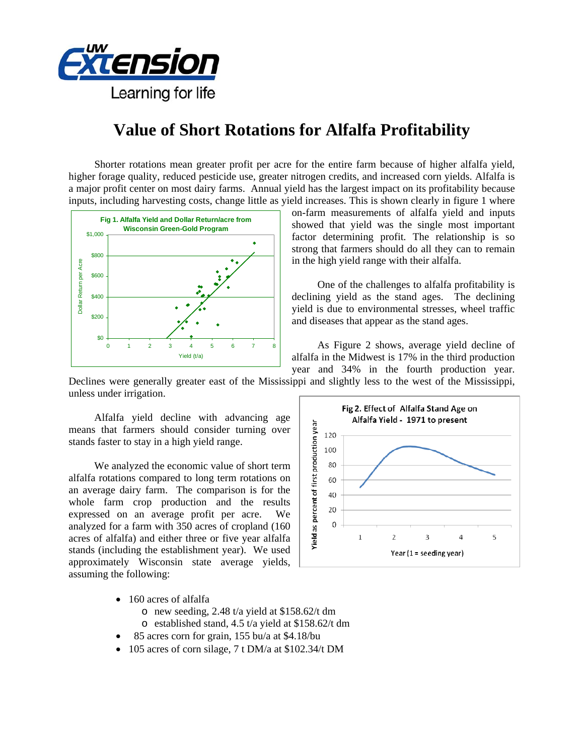

## **Value of Short Rotations for Alfalfa Profitability**

Shorter rotations mean greater profit per acre for the entire farm because of higher alfalfa yield, higher forage quality, reduced pesticide use, greater nitrogen credits, and increased corn yields. Alfalfa is a major profit center on most dairy farms. Annual yield has the largest impact on its profitability because inputs, including harvesting costs, change little as yield increases. This is shown clearly in figure 1 where



on-farm measurements of alfalfa yield and inputs showed that yield was the single most important factor determining profit. The relationship is so strong that farmers should do all they can to remain in the high yield range with their alfalfa.

 One of the challenges to alfalfa profitability is declining yield as the stand ages. The declining yield is due to environmental stresses, wheel traffic and diseases that appear as the stand ages.

 As Figure 2 shows, average yield decline of alfalfa in the Midwest is 17% in the third production year and 34% in the fourth production year.

Declines were generally greater east of the Mississippi and slightly less to the west of the Mississippi, unless under irrigation.

 Alfalfa yield decline with advancing age means that farmers should consider turning over stands faster to stay in a high yield range.

 We analyzed the economic value of short term alfalfa rotations compared to long term rotations on an average dairy farm. The comparison is for the whole farm crop production and the results expressed on an average profit per acre. We analyzed for a farm with 350 acres of cropland (160 acres of alfalfa) and either three or five year alfalfa stands (including the establishment year). We used approximately Wisconsin state average yields, assuming the following:



- 160 acres of alfalfa
	- o new seeding, 2.48 t/a yield at \$158.62/t dm
	- o established stand, 4.5 t/a yield at \$158.62/t dm
- 85 acres corn for grain, 155 bu/a at \$4.18/bu
- 105 acres of corn silage, 7 t DM/a at \$102.34/t DM